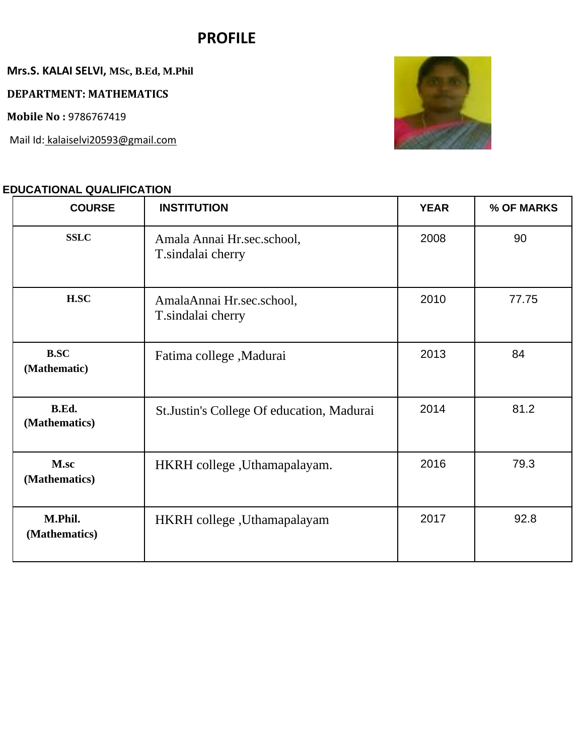# **PROFILE**

**Mrs.S. KALAI SELVI, MSc, B.Ed, M.Phil** 

**DEPARTMENT: MATHEMATICS** 

**Mobile No :** 9786767419

Mail Id: kalaiselvi20593@gmail.com

## **EDUCATIONAL QUALIFICATION**



| <b>COURSE</b>               | <b>INSTITUTION</b>                              | <b>YEAR</b> | % OF MARKS |
|-----------------------------|-------------------------------------------------|-------------|------------|
| <b>SSLC</b>                 | Amala Annai Hr.sec.school,<br>T.sindalai cherry | 2008        | 90         |
| H.SC                        | AmalaAnnai Hr.sec.school,<br>T.sindalai cherry  | 2010        | 77.75      |
| <b>B.SC</b><br>(Mathematic) | Fatima college, Madurai                         | 2013        | 84         |
| B.Ed.<br>(Mathematics)      | St.Justin's College Of education, Madurai       | 2014        | 81.2       |
| M.sc<br>(Mathematics)       | HKRH college, Uthamapalayam.                    | 2016        | 79.3       |
| M.Phil.<br>(Mathematics)    | HKRH college, Uthamapalayam                     | 2017        | 92.8       |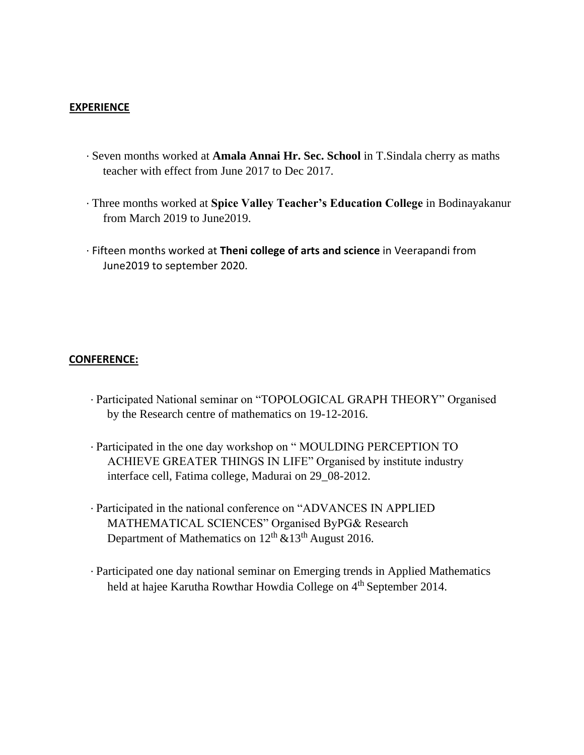#### **EXPERIENCE**

- ∙ Seven months worked at **Amala Annai Hr. Sec. School** in T.Sindala cherry as maths teacher with effect from June 2017 to Dec 2017.
- ∙ Three months worked at **Spice Valley Teacher's Education College** in Bodinayakanur from March 2019 to June2019.
- ∙ Fifteen months worked at **Theni college of arts and science** in Veerapandi from June2019 to september 2020.

#### **CONFERENCE:**

- ∙ Participated National seminar on "TOPOLOGICAL GRAPH THEORY" Organised by the Research centre of mathematics on 19-12-2016.
- ∙ Participated in the one day workshop on " MOULDING PERCEPTION TO ACHIEVE GREATER THINGS IN LIFE" Organised by institute industry interface cell, Fatima college, Madurai on 29\_08-2012.
- ∙ Participated in the national conference on "ADVANCES IN APPLIED MATHEMATICAL SCIENCES" Organised ByPG& Research Department of Mathematics on  $12<sup>th</sup>$  &13<sup>th</sup> August 2016.
- ∙ Participated one day national seminar on Emerging trends in Applied Mathematics held at hajee Karutha Rowthar Howdia College on 4<sup>th</sup> September 2014.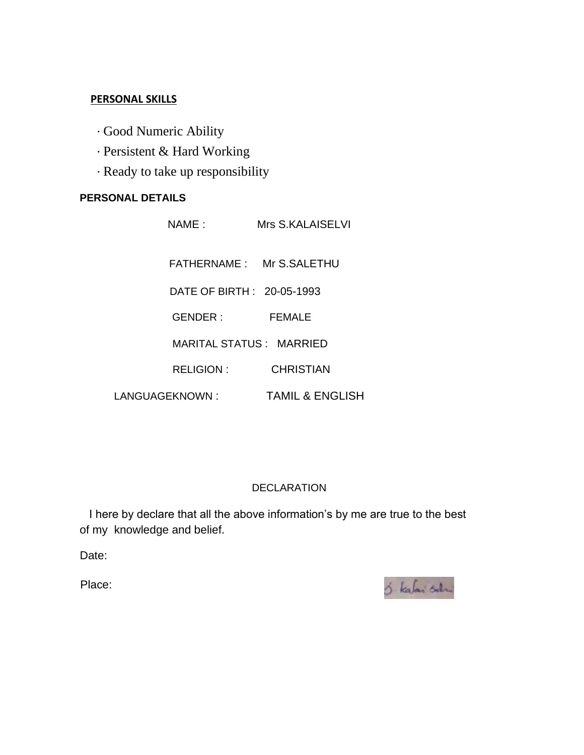### **PERSONAL SKILLS**

- ∙ Good Numeric Ability
- ∙ Persistent & Hard Working
- ∙ Ready to take up responsibility

## **PERSONAL DETAILS**

|                 | NAME :                     | Mrs S.KALAISELVI           |  |
|-----------------|----------------------------|----------------------------|--|
|                 |                            | FATHERNAME: Mr S.SALETHU   |  |
|                 | DATE OF BIRTH : 20-05-1993 |                            |  |
|                 | GENDER :                   | FEMALE                     |  |
|                 | MARITAL STATUS : MARRIED   |                            |  |
|                 | <b>RELIGION:</b>           | <b>CHRISTIAN</b>           |  |
| LANGUAGEKNOWN : |                            | <b>TAMIL &amp; ENGLISH</b> |  |

## DECLARATION

I here by declare that all the above information's by me are true to the best of my knowledge and belief.

Date:

Place: